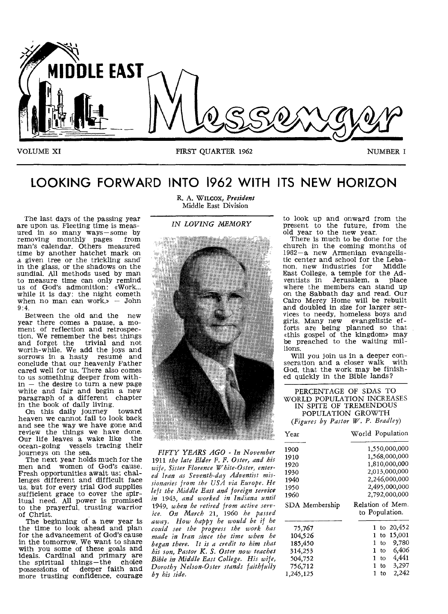

VOLUME XI FIRST QUARTER 1962 NUMBER I

# **LOOKING FORWARD INTO 1962 WITH ITS NEW HORIZON**

The last days of the passing year are upon us. Fleeting time is measured in so many ways—some by<br>removing monthly pages from removing monthly pages man's calendar. Others measured time by another hatchet mark on a given tree or the trickling sand in the glass, or the shadows on the sundial. All methods used by man to measure time can only remind us of God's admonition: «Work... while it is day: the night cometh when no man can work. $\ast$  - John  $9.4$ 

Between the old and the new year there comes a pause, a moment of reflection and retrospection. We remember the best things and forget the trivial and not worth-while. We add the joys and sorrows in a hasty resume and conclude that our heavenly Father cared well for us. There also comes to us something deeper from within — the desire to turn a new page white and fair and begin a new paragraph of a different chapter in the book of daily living.

On this daily journey toward heaven we cannot fail to look back and see the way we have gone and review the things we have done.<br>Our life leaves a wake like the Our life leaves a wake like ocean-going vessels tracing their journeys on the sea.

The next year holds much for the men and women of God's cause. Fresh opportunities await us; challenges different and difficult face us, but for every trial God supplies sufficient grace to cover the spiritual need. All power is promised to the prayerful, trusting warrior of Christ.

The beginning of a new year is the time to look ahead and plan for the advancement of God's cause in the tomorrow. We want to share with you some of these goals and ideals. Cardinal and primary are the spiritual things—the choice possessions of deeper faith and more trusting confidence, courage

R. A. WiLcox, *President*  Middle East Division

### *IN LOVING MEMORY*



*FIFTY YEARS AGO - In November*  1911 *the late Elder F. F. Oster, and his wife, Sister Florence White-Oster, entered Iran as Seventh-day Adventist missionaries from the USA via Europe. He left the Middle East and foreign service in* 1943, *and worked in Indiana until*  1949, *when he retired from active service. On March* 21, 1960 *he passed away. How happy he would be if he could see the progress the work has made in Iran since the time when he began there. It is a credit to him that his son, Pastor K. S. Oster now teaches Bible in Middle East College. His wife, Dorothy Nelson-Oster stands faithfully by his side.* 

to look up and onward from the present to the future, from the old year to the new year.

There is much to be done for the church in the coming months of 1962—a new Armenian evangelistic center and school for the Lebanon, new industries for Middle East College, a temple for the Adventists in Jerusalem, a place where the members can stand up on the Sabbath day and read. Our Cairo Mercy Home will be rebuilt and doubled in size for larger services to needy, homeless boys and girls. Many new evangelistic efforts are being planned so that «this gospel of the kingdom» may be preached to the waiting millions.

Will you join us in a deeper consecration and a closer walk with God, that the work may be finished quickly in the Bible lands?

PERCENTAGE OF SDAS TO WORLD POPULATION INCREASES IN SPITE OF TREMENDOUS POPULATION GROWTH *(Figures by Pastor W. P. Bradley)* 

| Year           | World Population                   |
|----------------|------------------------------------|
| 1900           | 1,550,000,000                      |
| 1910           | 1.568.000.000                      |
| 1920           | 1,810,000,000                      |
| 1930           | 2,013,000,000                      |
| 1940           | 2,246,000,000                      |
| 1950           | 2,495,000,000                      |
| 1960           | 2,792,000,000                      |
| SDA Membership | Relation of Mem.<br>to Population. |
| 75.767         | to $20,452$                        |
| 104,526        | 15,001<br>1<br>to                  |
| 185,450        | 9,780<br>1<br>to                   |
| 314,253        | 6.406<br>1<br>to                   |
| 504,752        | 4,441<br>1<br>to                   |
| 756,712        | 3,297<br>1<br>to                   |
| 1,245,125      | 2,242<br>1<br>to                   |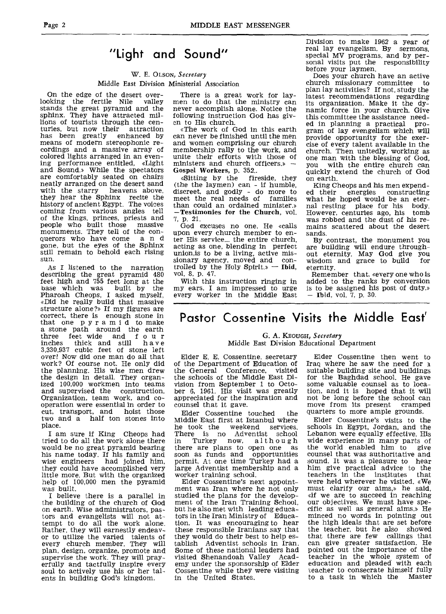## **"Light and Sound"**

### W. E. OLSON, *Secretary*  Middle East Division Ministerial Association

On the edge of the desert over-<br>oking the fertile Nile valley looking the fertile Nile stands the great pyramid and the sphinx. They have attracted millions of tourists through the centuries, but now their attraction<br>has been greatly enhanced by has been greatly means of modern stereophonic recordings and a massive array of colored lights arranged in an evening performance entitled, «Light and Sound.) While the spectators are comfortably seated on chairs neatly arranged on the desert sand with the starry heavens above, they hear the Sphinx recite the history of ancient Egypt. The voices coming from various angles tell of the kings, princes, priests and<br>people who built those massive people who built those massive monuments. They tell of the conquerors who have come a n d gone, but the eyes of the Sphinx still remain to behold each rising sun.

As I listened to the narration describing the great pyramid 480 feet high and 755 feet long at the base which was built by the Pharoah Cheops, I asked myself, «Did he really build that massive structure alone?» If my figures are correct, there is enough stone in that one pyramid to make a stone path around the earth<br>three feet wide and f o u r a stone path around the earth inches thick and still have 3,330,937 cubic feet of stone left over! Now did one man do all that work? Of course not. He only did the planning. His wise men drew the design in detail. They organized 100,000 workmen into teams and supervised the construction. Organization, team work, and cooperation were essential in order to cut, transport, and hoist those two and a half ton stones into place.

I am sure if King Cheops had tried to do all the work alone there would be no great pyramid bearing his name today. If his family and wise engineers had joined him, they could have accomplished very little more. But with the organized help of 100,000 men the pyramid was built.

I believe there is a parallel in the building of the church of God on earth. Wise administrators, pastors and evangelists will not attempt to do all the work alone. Rather, they will earnestly endeavor to utilize the varied talents of every church member. They will plan, design, organize, promote and supervise the work. They will prayerfully and tactfully inspire every soul to actively use his or her talents in building God's kingdom.

There is a great work for laymen to do that the ministry can never accomplish alone. Notice the following instruction God has given to His church.

«The work of God in this earth can never be finished until the men and women comprising our church membership rally to the work, and unite their efforts with those of ministers and church officers.» -Gospel Workers, p. 352..

«Sitting by the fireside, they (the the laymen) can - if humble, discreet, and godly - do more to meet the real needs of families than could an ordained minister.» —Testimonies for the Church, vol. 7, p. 21.

God excuses no one. He «calls upon every church member to enter His service... the entire church, acting as one, blending in perfect union,is to be a living, active missionary agency, moved and controlled by the Holy Spirit. $\mathbf{v}$  – Ibid, vol, 8, p. 47.

With this instruction ringing in my ears, I am impressed to urge every worker in the Middle East Division to make 1962 a year of real lay evangelism. By sermons, special MV programs, and by personal visits put the responsibility before your laymen.

Does your church have an active church missionary committee to plan lay activities? If not, study the latest recommendations regarding its organization. Make it the dynamic force in your church. Give this committee the assistance need-<br>ed in planning a practical proed in planning a practical gram of lay evengelism which will provide opportunity for the exercise of every talent available in the church. Then unitedly, working as one man with the blessing of God,<br>you with the entire church can with the entire church can quickly extend the church of God on earth.

King Cheops and his men expend-<br>ed their energies constructing ed their energies constructing what he hoped would be an eternal resting place for his body. However, centuries ago, his tomb was robbed and the dust of his remains scattered about the desert sands.

By contrast, the monument you are building will endure throughout eternity. May God give you wisdom and grace to build for eternity.

Remember that, «every one who is added to the ranks by conversion is to be assigned his post of duty.» — Ibid, vol. 7, p. 30.

## **Pastor Cossentine Visits the Middle East'**

G. A. KEOUGH, *Secretary*  Middle East Division Educational Department

Elder E. E. Cossentine, secretary of the Department of Education of<br>the General Conference. visited the General Conference, the schools of the Middle East Division from September 1 to October 6, 1961. His visit was greatly appreciated *for* the inspiration and counsel that it gave.

Elder Cossentine touched the Middle East first at Istanbul where he took the weekend services. There is no Adventist school<br>in Turkey now, although Turkey now, although there are plans to open one as<br>soon as funds and opportunities soon as funds and permit. At one time Turkey had a large Adventist membership and a worker training school.

Elder Cossentine's next appointment was Iran where he not only studied the plans for the development of the Iran Training School, but he also met with leading educa-<br>tors in the Iran Ministry of Educators in the Iran Ministry of tion. It was encouraging to hear these responsible Iranians say that they would do their best to help establish Adventist schools in Iran. Some of these national leaders had visited Shenandoah Valley Academy under the sponsorship of Elder Cossentine while they were visiting in the United States.

Elder Cossentine then went to Iraq where he saw the need for a suitable building site and buildings for the Baghdad school. He gave some valuable counsel as to location, and it is hoped that it will not be long before the school can move from its present cramped quarters to more ample grounds.

Elder Cossentine's visits to the schools in Egypt, Jordan, and the Lebanon were equally effective. His wide experience in many parts of<br>the world enabled him to give the world enabled him to counsel that was authoritative and sound. It was a pleasure to hear him give practical advice to the teachers in the institutes were held wherever he visited. «We must clarify our aims,» he said, «if we are to succeed in reaching our objectives. We must have specific as well as general aims.) He minced no words in pointing out the high ideals that are set before the teacher, but he also showed that there are few callings that can give greater satisfaction. He pointed out the importance of the teacher in the whole system of education and pleaded with each teacher to consecrate himself fully<br>to a task in which the Master to a task in which the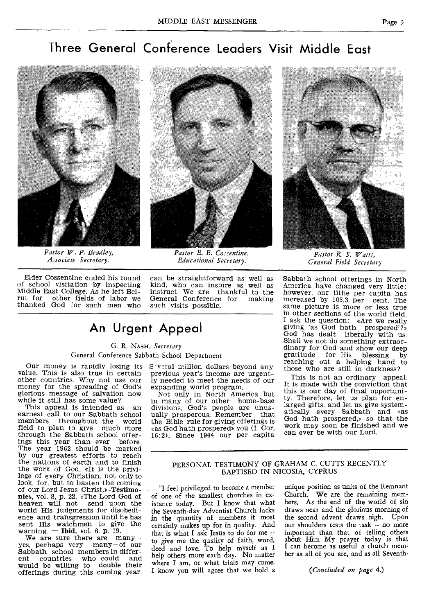# **Three General Conference Leaders Visit Middle East**



*Pastor W. P. Bradley, Associate Secretary.* 

Elder Cossentine ended his round of school visitation by inspecting Middle East College. As he left Bei-<br>rut for other fields of labor we other fields of labor we thanked God for such men who



*Pastor E. E. Cossentine, Educational Secretary.* 

# **An Urgent Appeal**

### G. R. NASH, *Secretary*

### General Conference Sabbath School Department

Our money is rapidly losing its value. This is also true in certain other countries. Why not use our money for the spreading of God's glorious message of salvation now while it still has some value?

This appeal is intended as earnest call to our Sabbath school<br>members throughout the world members throughout the field to plan to give much more through the Sabbath school offerings this year than ever before. The year 1962 should be marked by our greatest efforts to reach the nations of earth and to finish the work of God. «It is the privilege of every Christian, not only to look, for, but to hasten the coming of our Lord Jesus Christ.»-Testimonies, vol. 8, p. 22. «The Lord God of heaven will not send upon the world His judgments for disobedience and transgression until he has sent His watchmen to give the warning. — Ibid, vol. 6, p. 19.

We are sure there are manyyes, perhaps very many—of our Sabbath school members in different countries who could and would be willing to double their offerings during this coming year.

### million dollars beyond any previous year's income are urgently needed to meet the needs of our expanding world program.

Not only in North America but in many of our other home-base divisions, God's people are unusually prosperous. Remember that the Bible rule for giving offerings is «as God hath prospered» you (1 Cor. 16:2). Since 1944 our per capita



*Pastor R. S. Watts, General Field Secretary* 

Sabbath school offerings in North America have changed very little; however, our tithe per capita has increased by 103.3 per cent. The same picture is more or less true in other sections of the world field. I ask the question: «Are we really giving 'as God hath prospered'? God has dealt liberally with us. Shall we not do something extraordinary for God and show our deep gratitude for His blessing by reaching out a helping hand to those who are still in darkness?

This is not an ordinary appeal. It is made with the conviction that this is our day of final opportunity. Therefore, let us plan for enlarged gifts, and let us give systematically every Sabbath and «as God hath prospered,>> so that the work may soon be finished and we can ever be with our Lord.

### PERSONAL TESTIMONY OF GRAHAM C. CUTTS RECENTLY BAPTISED IN NICOSIA, CYPRUS

. "I feel privileged to become a member of one of the smallest churches in existance today. But I know that what the Seventh-day Adventist Church lacks in the quantity of members it most certainly makes up for in quality. And that is what I ask Jesus to do for me - to give me the quality of faith, word, deed and love. To help myself as I help others more each day. No matter where I am, or what trials may come. I know you will agree that we hold a

unique position as units of the Remnant Church. We are the remaining members. As the end of the world of sin draws near and the glorious morning of the second advent draws nigh. Upon our shoulders rests the task -- no more important than that of telling others about Him My prayer today is that I can become as useful a church member as all of you are, and as all Seventh-

*(Concluded on page* 4.)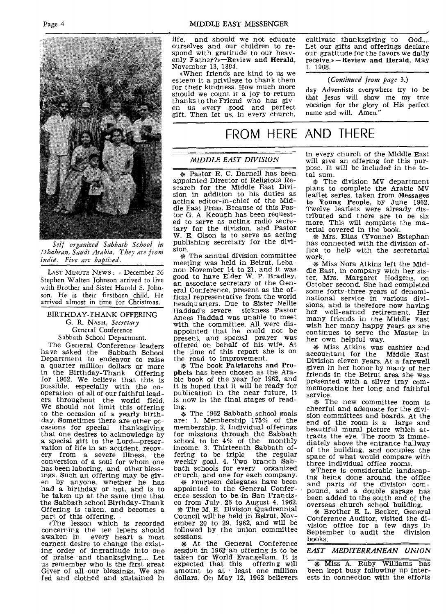

*Self organized Sabbath School in Dhahran, Saudi Arabia. They are from India. Five are baptised.* 

LAST MINUTE NEWS : - December 26 Stephen Walten Johnson arrived to live with Brother and Sister Harold S. Johnson. He is their firstborn child. He arrived almost in time for Christmas.

BIRTHDAY-THANK OFFERING G. R. NASH, *Secretary*  General Conference Sabbath School Department.

The General Conference leaders have asked the Sabbath School Department to endeavor to raise a quarter million dollars or more in the Birthday-Thank Offering for 1962. We believe that this is possible, especially with the cooperation of all of our faithful leaders throughout the world field. We should not limit this offering to the occasion of a yearly birthday. Sometimes there are other occasions for special thanksgiving that one desires to acknowledge by a special gift to the Lord—preservation of life in an accident, recovery from a severe illness, the conversion of a soul for whom one has been laboring, and other blessings. Such an offering may be given by anyone, whether he has had a birthday or not, and is to be taken up at the same time that the Sabbath school Birthday-Thank Offering is taken, and becomes a part of this offering.

«The lesson which is recorded concerning the ten lepers should<br>awaken in every heart a most every heart a most earnest desire to change the existing order of ingratitude into one of praise and thanksgiving.... Let us remember who is the first great Giver of all our blessings. We are fed and clothed and sustained in life, and should we not educate ourselves and our children to respond with gratitude to our heavenly Father?»-Review and Herald, November 13, 1894.

«When friends are kind to us we esteem it a privilege to thank them for their kindness. How much more should we count it a joy to return thanks to the Friend who has giv-en us every good and perfect gift. Then let us, in every church,

• cultivate thanksgiving to God.... Let our gifts and offerings declare our gratitude for the favors we daily receive.» - Review and Herald, May 7. 1908.

#### *(Continued from page* 3.)

day Adventists everywhere try to be that Jesus will show me my true vocation for the glory of His perfect name and will. Amen."

# FROM HERE AND THERE

### *MIDDLE EAST DIVISION*

\* Pastor R. C. Darnell has been appointed Director of Religious Research for the Middle East Division in addition to his duties as acting editor-in-chief of the Middle East Press. Because of this Pastor G. A. Keough has been requested to serve as acting radio secretary for the division, and Pastor W. E. Olson is to serve as acting publishing secretary for the division.

\* The annual division committee meeting was held in Beirut, Lebanon November 14 to 21, and it was good to have Elder W. P. Bradley, an associate secretary of the General Conference, present as the official representative from the world headquarters. Due to Sister Nellie Haddad's severe sickness Pastor Anees Haddad was unable to meet with the committee. All were disappointed that he could not be present, and special prayer was offered on behalf of his wife. At the time of this report she is on the road to improvement.

\* The book Patriarchs and Prophets has been chosen as the Arabic book of the year for 1962, and it is hoped that it will be ready for publication in the near future, it is now in the final stages of reading.

\* The 1962 Sabbath school goals are: 1. Membership 175% of the membership. 2. Individual offerings for missions through the Sabbath school to be 4% of the monthly income. 3. Thirteenth Sabbath of-<br>fering to be triple the regular fering to be triple the regular weekly goal. 4. Two branch Sabbath schools for every organized church, and one for each company.

\* Fourteen delegates have been appointed to the General Conference session to be in San Francisco from July 26 to August 4, 1962. \* The M. E. Division Quadrennial Council will be held in Beirut, November 20 to 29, 1962, and will be followed by the union committee sessions.

• At the General Conference session in 1962 an offering is to be taken for World Evangelism. It is expected that this offering will amount to at least one million dollars. On May 12, 1962 believers in every church of the Middle East will give an offering for this purpose. It will be included in the total sum.

\* The division MV department plans to complete the Arabic MV leaflet series, taken from Messages to Young People, by June 1962. Twelve leaflets were already distributed and there are to be six more. This will complete the material covered in the book.

\* Mrs. Elias (Yvonne) Estephan has connected with the division office to help with the secretarial work.

\* Miss Nora Atkins left the Middle East, in company with her sister, Mrs. Margaret Hodgens, on October second. She had completed some forty-three years of denominational service in various divisions, and is therefore now having her well-earned retirement. Her many friends in the Middle East wish her many happy years as she continues to serve the Master in her own helpful way.

\* Miss Atkins was cashier and accountant for the Middle East Division eleven years. At a farewell given in her honor by many of her friends in the Beirut area she was presented with a silver tray commemorating her long and faithful service.

\* The new committee room is cheerful and adequate for the division committees and boards. At the end of the room is a large and beautiful mural picture which attracts the eye. The room is immediately above the entrance hallway of the building, and occupies the space of what would compare with three individual office rooms.

\*There is considerable landscaping being done around the office and parts of the division compound, and a double garage has been added to the south end of the overseas church school building.

\* Brother E. L. Becker, General Conference Auditor, visited the division office for a few days in<br>September to audit the division September to audit the books.

### *EAST MEDITERRANEAN UNION*

\* Miss A. Ruby Williams has been kept busy following up interests in connection with the efforts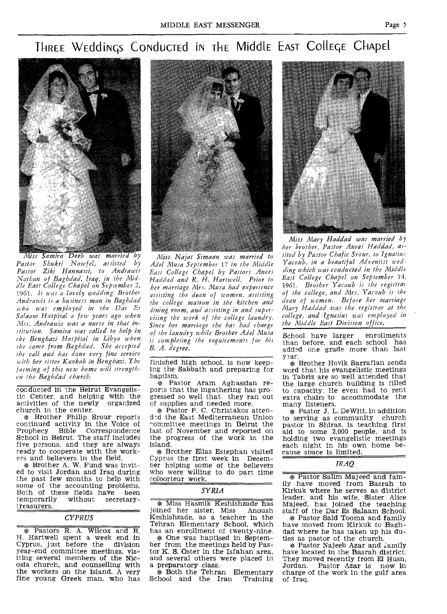# THREE WEddings Conducted in the Middle EAST College Chapel



*Miss Samira Deeb was married by Pastor Shukri Nowfel, assisted by Pastor Ziki Hannawi, to Andrawis Nathan of Baghdad, Iraq, in the Middle East College Chapel on September* 2, 1961. *It was a lovely wedding. Brother Andrawis is a business man in Baghdad rob° was employed in the Dar Es Salaam Hospital a few years ago when Mrs. Andrawis was a nurse in that institution. Samira was called to help in the Benghazi Hospital in Libya when she came from Baghdad. She accepted the call and has done very fine service with her sister Kaokab in Benghazi. The forming of this new home will strengthen the Baghdad church.* 

conducted in the Beirut Evangelis-tic Center, and helping with the activities of the newly organized church in the center.

ee Brother Philip Srour reports continued activity in the Voice of Prophecy Bible Correspondence School in Beirut. The staff includes five persons, and they are always ready to cooperate with the workers and believers in the field.

 $*$  Brother A. W. Fund was invited to visit Jordan and Iraq during the past few months to help with some of the accounting problems.<br>Both of these fields have been Both of these fields have been<br>temporarily without secretarytemporarily treasurers.

#### *CYPRUS*

\* Pastors R. A. Wilcox and R. H. Hartwell spent a week end in Cyprus, just before the year-end committee meetings, visiting several members of the Nicosia church, and counselling with the workers on the island. A very fine young Greek man, who has



*Miss Najat Simaan was married to Adel Musa September* 17 *in the Middle East College Chapel by Pastors Anees Haddad and R. H. Hartwell. Prior to her marriage Mrs. Musa had experience assisting the dean of women, assisting the college matron in the kitchen and dining room, and assisting in and supervising the work of the college laundry. Since her marriage she has had charge of the laundry while Brother Adel Musa is completing the requirements for his B. A. degree.* 

finished high school, is now keeping the Sabbath and preparing for baptism.

\* Pastor Aram Aghassian reports that the ingathering has progressed so well that they ran out of supplies and needed more.

\* Pastor P. C. Christakos attended the East Mediterranean Union committee meetings in Beirut the last of November and reported on the progress of the work in the island.

\* Brother Elias Estephan visited Cyprus the first week in December helping some of the believers who were willing to do part time coloorteur work.

### *SYRIA*

s Miss Hasmik Keshishzade has joined her sister, Miss Keshishzade, as a teacher in the Tehran Elementary School, which has an enrollment of twenty-nine.

\* One was haptised in September from the meetings held by Pastor K. S. Oster in the Isfahan area, and several others were placed in<br>a preparatory class. preparatory class.

\* Both the Tehran Elementary<br>hool and the Iran Training School and the Iran



*Miss Mary Haddad was married by her brother, Pastor Anees Haddad, assited by Pastor Chafic Srour, to Ignatius Yacoub, in a beautiful Adventist wedding which was conducted in the Middle East College Chapel on September* 14, 1961. *Brother Yacoub is the registrar of the college, and Mrs. Yacoub is the dean of women. Before her marriage Mary Haddad was the registrar at the college, and Ignatius was employed in the Middle East Division office.* 

School have larger enrollments than before, and each school has added one grade more than last year.

\* Brother Hovik Sarrafian sends word that his evangelistic meetings in Tabriz are so well attended that the large church building is filled to capacity. He even had to rent extra chairs to accommodate the many listeners.

\* Pastor J. L. DeWitt, in addition to serving as community church pastor in Shiraz, is teaching first aid to some 2,000 people, and is holding two evangelistic meetings each night in his own home because space is limited.

#### *IRAQ*

\* Pastor Salim Majeed and family have moved from Basrah to Kirkuk where he serves as district leader, and his wife, Sister Alice Majeed, has joined the teaching staff of the Dar Es Salaam School.

\* Pastor Said Tooma and family have moved from Kirkuk to Baghdad where he has taken up his duties as pastor of the church.

\* Pastor Najeeb Azar and ;arnily have located in the Basrah district. They moved recently from El Husn,<br>Jordan. Pastor Azar is now in Pastor Azar is now in charge of the work in the gulf area of Iraq.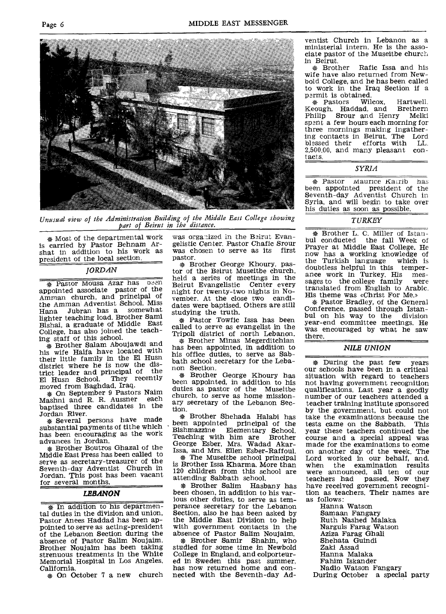

*Unusual view of the Administration Building of the Middle East College showing part of Beirut in the distance.* 

\* Most of the departmental work is carried by Pastor Behnam Arshat in addition to his work as president of the local section.

### *JORDAN*

\* Pastor Mousa Azar has been appointed associate pastor of the Amman church, and principal of the Amman Adventist School. Miss Hana Jubran has a somewhat lighter teaching load. Brother Sami Bishai, a graduate of Middle East College, has also joined the teaching staff of this school.

\* Brother Salam Aboujawdi and his wife Haifa have located with their little family in the El Husn district where he is now the district leader and principal of the<br>El Husn School. They recently El Husn School. moved from Baghdad, Iraq.

\* On September 9 Pastors Naim Mashni and R. R. Aussner each baptised three candidates in the Jordan River.

\* Several persons have made substantial payments of tithe which has been encouraging as the work advances in Jordan.

\* Brother Boutros Ghazal of the Middle East Press has been called to serve as secretary-treasurer of the Seventh-day Adventist Church in Jordan. This post has been vacant for several months.

#### *LEBANON*

 $*$  In addition to his departmental duties in the division and union, Pastor Anees Haddad has been appointed to serve as acting-president of the Lebanon Section during the absence of Pastor Salim Noujaim. Brother Noujaim has been taking strenuous treatments in the White Memorial Hospital in Los Angeles, California.

\* On October 7 a new church

was organized in the Beirut Evangelistic Center. Pastor Chafic Srour was chosen to serve as its pastor.

\* Brother George Khoury, pastor of the Beirut Museitbe church, held a series of meetings in the Beirut Evangelistic Center every night for twenty-two nights in November. At the close two candidates were baptised. Others are still studying the truth.

\* Pastor Towfic Issa has been called to serve as evangelist in the Tripoli district of north Lebanon.

\* Brother Minas Megerditchian has been appointed, in addition to his office duties, to serve as Sabbath school secretary for the Lebanon Section.

\* Brother George Khoury has been appointed, in addition to his duties as pastor of the Museitbe church, to serve as *home* missionary secretary of the Lebanon Section.

\* Brother Shehada Halabi has been appointed principal of the Bishmazzine Elementary School. Teaching with him are Brother George Esber, Mrs. Wadad Akar-Issa, and Mrs. Ellen Esber-Raffoul.

\* The Museitbe school principal is Brother Issa Kharma. More than 120 children from this school are attending Sabbath school.

\* Brother Salim Hasbany has been chosen, in addition to his various other duties, to serve as temperance secretary for the Lebanon Section, also he has been asked by the Middle East Division to help with government contacts in the absence of Pastor Salim Noujaim.

\* Brother Samir Shahin, who studied for some time in Newbold College in England, and colporteured in Sweden this past summer, has now returned home and connected with the Seventh-day Ad-

ventist Church in Lebanon as a ministerial intern. He is the associate pastor of the Museitbe church in Beirut.

\* Brother Rafic Issa and his wife have also returned from Newbold College, and he has been called to work in the Iraq Section if a permit is obtained.<br> **\*** Pastors Wilcox.

\* Pastors Wilcox, Hartwell, Keough, Haddad, and Brethern Srour and Henry spent a few hours each morning for three mornings making ingathering contacts in Beirut. The Lord blessed their efforts with LL,<br>2.500.00 and many pleasant con- $2,500.00$ , and many pleasant tacts.

### *SYRIA*

\* Pastor Maurice Kairib has been appointed president of the Seventh-day Adventist Church in Syria, and will begin to take over his duties as soon as possible.

### *TURKEY*

\* Brother L. C. Miller of Istanthe fall Week of Prayer at Middle East College. He now has a working knowledge of the Turkish language which is<br>doubtless helpful in this temperdoubtless helpful in this temper-<br>ance work in Turkey His mesance work in Turkey. His mes-<br>sages to the college family were sages to the college family translated from English to Arabic. His theme was «Christ For Me.»

\* Pastor Bradley, of the General Conference, passed through Istanbul on his way to the year-end committee meetings. He was encouraged by what he saw there.

#### *NILE UNION*

\* During the past few years our schools have been in a critical situation with regard to teachers not having government recognition qualifications. Last year a goodly number of our teachers attended a teacher training institute sponsored by the government, but could not take the examinations because the<br>tests came on the Sabbath This tests came on the Sabbath. year these teachers continued the course and a special appeal was made for the examinations to come on another day of the week. The Lord worked in our behalf, and. when the examination results were announced, all ten of our teachers had passed. Now they have received government recognition as teachers. Their names are as follows:

Hanna Watson Samaan Fangary Ruth Nashed Malaka Narguis Farag Watson Aziza Farag Ghali Shehata Guindi Zaki Assad Hanna Malaka

Fahim Iskander

Nadio Watson Fangary

During October a special party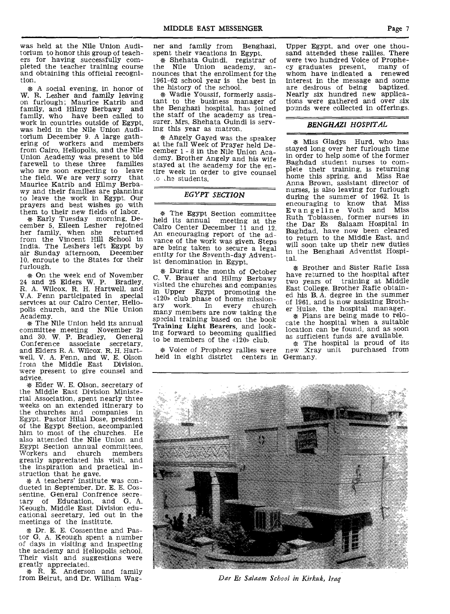was held at the Nile Union Auditorium to honor this group of teachers for having successfully completed the teacher training course and obtaining this official recognition.

\* A social evening, in honor of W. R. Lesher and family leaving on furlough; Maurice Katrib and family, and Hilmy Berbawy and family, who have been called to work in countries outside of Egypt, was held in the Nile Union Auditorium December 9. A large gathering of workers and members from Cairo, Heliopolis, and the Nile Union Academy was present to bid farewell to these three families who are soon expecting to leave the field. We are very sorry that Maurice Katrib and Hilmy Berbawy and their families are planning to leave the work in Egypt. Our prayers and best wishes go with them to their new fields of labor.

\* Early Tuesday morning, December 5, Eileen Lesher rejoined her family, when she returned from the Vincent Hill School in India. The Leshers left Egypt by air Sunday afternoon, December 10, enroute to the States for their furlough.

\* On the week end of November 24 and 25 Elders W. P. Bradley, R. A. Wilcox, R. H. Hartwell, and V.A. Fenn participated in special services at our Cairo Center, Heliopolis church, and the Nile Union Academy.

\* The Nile Union held its annual committee meeting November 29<br>and 30 W P Bradley General and 30. W. P. Bradley, General Conference associate secretary. Conference associate secretary, and Elders R. A. Wilcox, R. H. Hartwell, V. A. Fenn, and W. E. Olson from the Middle East Division, were present to give counsel and advice.

\* Elder W. E. Olson, secretary of the Middle East Division Ministerial Association, spent nearly three weeks on an extended itinerary to the churches and companies in Egypt. Pastor Hilal Dose, president of the Egypt Section, accompanied him to most of the churches. He also attended the Nile Union and Egypt Section annual committees.<br>Workers and church members Workers and greatly appreciated his visit, and the inspiration and practical instruction that he gave.

\* A teachers' institute was conducted in September. Dr. E. E. Cossentine, General Confrence secretary of Education, and G. A. Keough, Middle East Division educational secretary, led out in the meetings of the institute.

\* Dr. E. E. Cossentine and Pastor G. A. Keough spent a number of days in visiting and inspecting the academy and Heliopolis, school. Their visit and suggestions were greatly appreciated.

\* R. E. Anderson and family from Beirut, and Dr. William Wagner and family from Benghazi, spent their vacations in Egypt.

\* Shehata Guindi, registrar of the Nile Union academy, announces that the enrollment for the 1961-62 school year is the best in the history of the school.

\* Wadie Youssif, formerly assistant to the business manager of the Benghazi hospital, has joined the staff of the academy as treasurer. Mrs. Shehata Guindi is serving this year as matron.

\* Angely Gayed was the speaker at the fall Week of Prayer held December 1 - 8 in the Nile Union Academy. Brother Angely and his wife stayed at the academy for the entire week in order to give counsel ,o ,he students.

### *EGYPT SECTION*

The Egypt Section committee held its annual meeting at the Cairo Center December 11 and 12. An encouraging report of the advance of the work was given. Steps are being taken to secure a legal entity for the Seventh-day Adventist denomination in Egypt.

\* During the month of October C. V. Brauer and Hilmy Berbawy visited the churches and companies in Upper Egypt promoting the «120) club phase of home missionary work. In every church many members are now taking the special training based on the book Training Light Bearers, and looking forward to becoming qualified to be members of the  $\angle 120\degree$  club.

\* Voice of Prophecy rallies were held in eight district centers in Germany.

Upper Egypt, and over one thousand attended these rallies. There were two hundred Voice of Prophe-<br>cy graduates present. many of cy graduates present, whom have indicated a renewed interest in the message and some<br>are desirous of being bantized are desirous of being Nearly six hundred new applications were gathered and over six pounds were collected in offerings.

### *BENGHAZI HOSPITAL*

\* Miss Gladys Hurd, who has stayed long over her furlough time in order to help some of the former Baghdad student nurses to complete their training, is returning home this spring, and Miss Rae Anna Brown, assistant director of nurses, is also leaving for furlough during the summer of 1962. It is encouraging to know that Miss Evangeline Voth and Miss Ruth Tobiassen, former nurses in the Dar Es Salaam Hospital in Baghdad, have now been cleared to return to the Middle East, and will soon take up their new duties in the Benghazi Adventist Hospital.

\* Brother and Sister Rafic Issa have returned to the hospital after two years of training at Middle East College. Brother Rafic obtained his B. A. degree in the summer of 1961, and is now assisting Brother Hulse, the hospital manager.

\* Plans are being made to relocate the hospital when a suitable location can be found, and as soon as sufficient funds are available.

\* The hospital is proud of its new Xray unit purchased from



*Dar Es Salaam School in Kirkuk, Iraq*